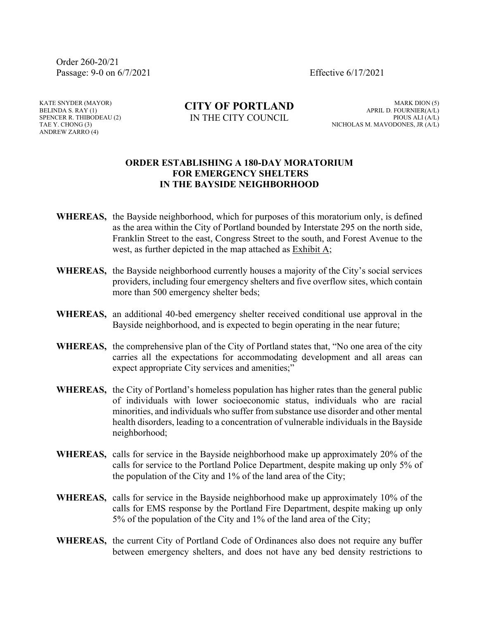Order 260-20/21 Passage: 9-0 on 6/7/2021 Effective 6/17/2021

KATE SNYDER (MAYOR) BELINDA S. RAY (1) SPENCER R. THIBODEAU (2) TAE Y. CHONG (3) ANDREW ZARRO (4)

**CITY OF PORTLAND** IN THE CITY COUNCIL

MARK DION (5) APRIL D. FOURNIER(A/L) PIOUS ALI (A/L) NICHOLAS M. MAVODONES, JR (A/L)

## **ORDER ESTABLISHING A 180-DAY MORATORIUM FOR EMERGENCY SHELTERS IN THE BAYSIDE NEIGHBORHOOD**

- **WHEREAS,** the Bayside neighborhood, which for purposes of this moratorium only, is defined as the area within the City of Portland bounded by Interstate 295 on the north side, Franklin Street to the east, Congress Street to the south, and Forest Avenue to the west, as further depicted in the map attached as Exhibit A;
- **WHEREAS,** the Bayside neighborhood currently houses a majority of the City's social services providers, including four emergency shelters and five overflow sites, which contain more than 500 emergency shelter beds;
- **WHEREAS,** an additional 40-bed emergency shelter received conditional use approval in the Bayside neighborhood, and is expected to begin operating in the near future;
- **WHEREAS,** the comprehensive plan of the City of Portland states that, "No one area of the city carries all the expectations for accommodating development and all areas can expect appropriate City services and amenities;"
- **WHEREAS,** the City of Portland's homeless population has higher rates than the general public of individuals with lower socioeconomic status, individuals who are racial minorities, and individuals who suffer from substance use disorder and other mental health disorders, leading to a concentration of vulnerable individuals in the Bayside neighborhood;
- **WHEREAS,** calls for service in the Bayside neighborhood make up approximately 20% of the calls for service to the Portland Police Department, despite making up only 5% of the population of the City and 1% of the land area of the City;
- **WHEREAS,** calls for service in the Bayside neighborhood make up approximately 10% of the calls for EMS response by the Portland Fire Department, despite making up only 5% of the population of the City and 1% of the land area of the City;
- **WHEREAS,** the current City of Portland Code of Ordinances also does not require any buffer between emergency shelters, and does not have any bed density restrictions to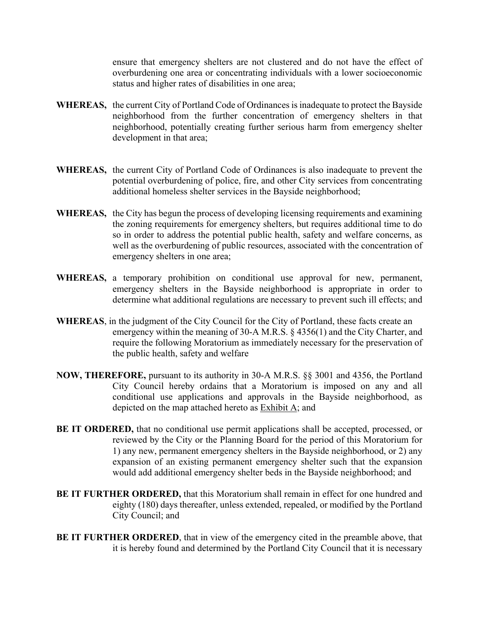ensure that emergency shelters are not clustered and do not have the effect of overburdening one area or concentrating individuals with a lower socioeconomic status and higher rates of disabilities in one area;

- **WHEREAS,** the current City of Portland Code of Ordinances is inadequate to protect the Bayside neighborhood from the further concentration of emergency shelters in that neighborhood, potentially creating further serious harm from emergency shelter development in that area;
- **WHEREAS,** the current City of Portland Code of Ordinances is also inadequate to prevent the potential overburdening of police, fire, and other City services from concentrating additional homeless shelter services in the Bayside neighborhood;
- **WHEREAS,** the City has begun the process of developing licensing requirements and examining the zoning requirements for emergency shelters, but requires additional time to do so in order to address the potential public health, safety and welfare concerns, as well as the overburdening of public resources, associated with the concentration of emergency shelters in one area;
- **WHEREAS,** a temporary prohibition on conditional use approval for new, permanent, emergency shelters in the Bayside neighborhood is appropriate in order to determine what additional regulations are necessary to prevent such ill effects; and
- **WHEREAS**, in the judgment of the City Council for the City of Portland, these facts create an emergency within the meaning of 30-A M.R.S. § 4356(1) and the City Charter, and require the following Moratorium as immediately necessary for the preservation of the public health, safety and welfare
- **NOW, THEREFORE,** pursuant to its authority in 30-A M.R.S. §§ 3001 and 4356, the Portland City Council hereby ordains that a Moratorium is imposed on any and all conditional use applications and approvals in the Bayside neighborhood, as depicted on the map attached hereto as Exhibit A; and
- **BE IT ORDERED,** that no conditional use permit applications shall be accepted, processed, or reviewed by the City or the Planning Board for the period of this Moratorium for 1) any new, permanent emergency shelters in the Bayside neighborhood, or 2) any expansion of an existing permanent emergency shelter such that the expansion would add additional emergency shelter beds in the Bayside neighborhood; and
- **BE IT FURTHER ORDERED,** that this Moratorium shall remain in effect for one hundred and eighty (180) days thereafter, unless extended, repealed, or modified by the Portland City Council; and
- **BE IT FURTHER ORDERED**, that in view of the emergency cited in the preamble above, that it is hereby found and determined by the Portland City Council that it is necessary